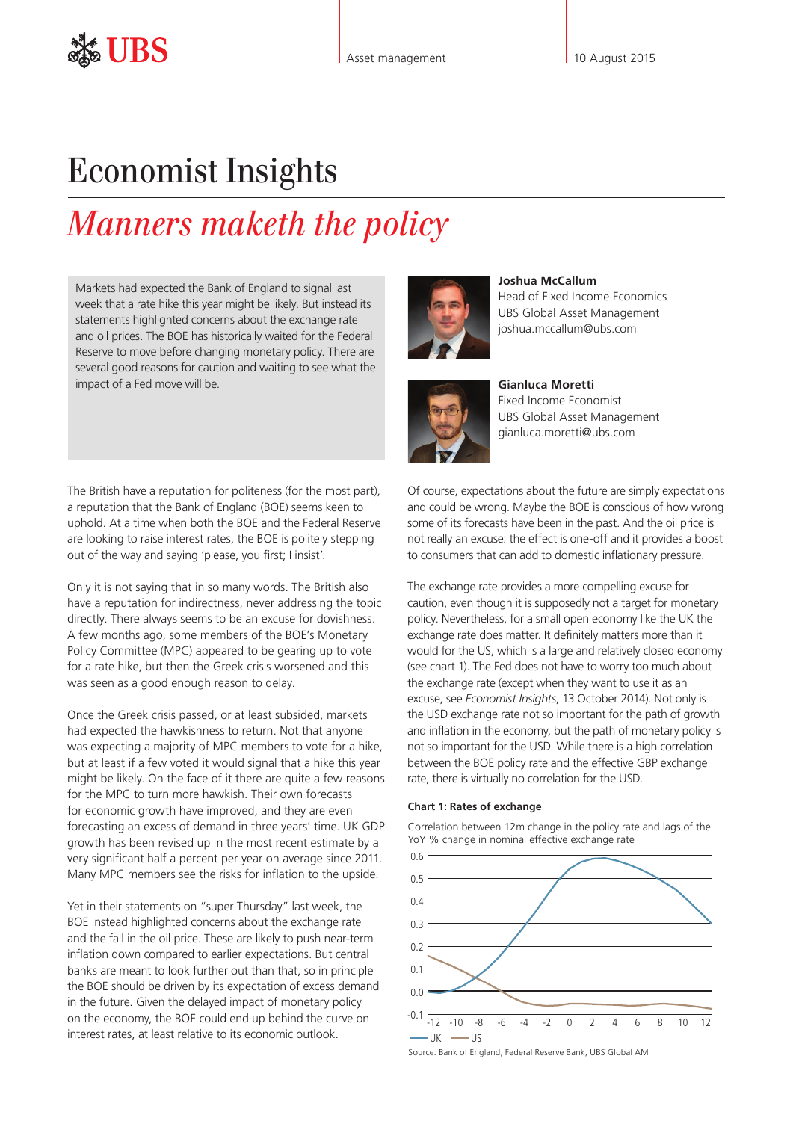## Economist Insights

# *Manners maketh the policy*

Markets had expected the Bank of England to signal last week that a rate hike this year might be likely. But instead its statements highlighted concerns about the exchange rate and oil prices. The BOE has historically waited for the Federal Reserve to move before changing monetary policy. There are several good reasons for caution and waiting to see what the impact of a Fed move will be.

The British have a reputation for politeness (for the most part), a reputation that the Bank of England (BOE) seems keen to uphold. At a time when both the BOE and the Federal Reserve are looking to raise interest rates, the BOE is politely stepping out of the way and saying 'please, you first; I insist'.

Only it is not saying that in so many words. The British also have a reputation for indirectness, never addressing the topic directly. There always seems to be an excuse for dovishness. A few months ago, some members of the BOE's Monetary Policy Committee (MPC) appeared to be gearing up to vote for a rate hike, but then the Greek crisis worsened and this was seen as a good enough reason to delay.

Once the Greek crisis passed, or at least subsided, markets had expected the hawkishness to return. Not that anyone was expecting a majority of MPC members to vote for a hike, but at least if a few voted it would signal that a hike this year might be likely. On the face of it there are quite a few reasons for the MPC to turn more hawkish. Their own forecasts for economic growth have improved, and they are even forecasting an excess of demand in three years' time. UK GDP growth has been revised up in the most recent estimate by a very significant half a percent per year on average since 2011. Many MPC members see the risks for inflation to the upside.

Yet in their statements on "super Thursday" last week, the BOE instead highlighted concerns about the exchange rate and the fall in the oil price. These are likely to push near-term inflation down compared to earlier expectations. But central banks are meant to look further out than that, so in principle the BOE should be driven by its expectation of excess demand in the future. Given the delayed impact of monetary policy on the economy, the BOE could end up behind the curve on interest rates, at least relative to its economic outlook.



**Joshua McCallum** Head of Fixed Income Economics UBS Global Asset Management joshua.mccallum@ubs.com



**Gianluca Moretti**  Fixed Income Economist UBS Global Asset Management gianluca.moretti@ubs.com

Of course, expectations about the future are simply expectations and could be wrong. Maybe the BOE is conscious of how wrong some of its forecasts have been in the past. And the oil price is not really an excuse: the effect is one-off and it provides a boost to consumers that can add to domestic inflationary pressure.

The exchange rate provides a more compelling excuse for caution, even though it is supposedly not a target for monetary policy. Nevertheless, for a small open economy like the UK the exchange rate does matter. It definitely matters more than it would for the US, which is a large and relatively closed economy (see chart 1). The Fed does not have to worry too much about the exchange rate (except when they want to use it as an excuse, see *[Economist Insights](http://www.ubs.com/content/dam/static/asset_management/global/research/insights/economist-insights-20141013.pdf)*, 13 October 2014). Not only is the USD exchange rate not so important for the path of growth and inflation in the economy, but the path of monetary policy is not so important for the USD. While there is a high correlation between the BOE policy rate and the effective GBP exchange rate, there is virtually no correlation for the USD.

#### **Chart 1: Rates of exchange**

Correlation between 12m change in the policy rate and lags of the YoY % change in nominal effective exchange rate



Source: Bank of England, Federal Reserve Bank, UBS Global AM